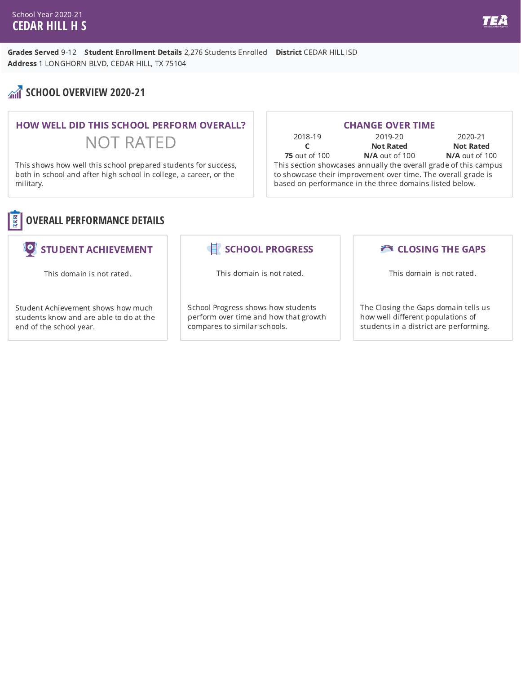#### School Year 2020-21 **CEDAR HILL H S**

Grades Served 9-12 Student Enrollment Details 2,276 Students Enrolled District CEDAR HILL ISD Address 1 LONGHORN BLVD, CEDAR HILL, TX 75104

# **SCHOOL OVERVIEW 2020-21**

# HOW WELL DID THIS SCHOOL PERFORM OVERALL? NOT RATED

This shows how well this school prepared students for success, both in school and after high school in college, a career, or the military.

| <b>CHANGE OVER TIME</b>                                          |                  |                  |
|------------------------------------------------------------------|------------------|------------------|
| 2018-19                                                          | 2019-20          | 2020-21          |
|                                                                  | <b>Not Rated</b> | <b>Not Rated</b> |
| <b>75</b> out of 100                                             | N/A out of 100   | N/A out of 100   |
| This section showcases annually the overall grade of this campus |                  |                  |
| to showcase their improvement over time. The overall grade is    |                  |                  |
| based on performance in the three domains listed below.          |                  |                  |



## STUDENT ACHIEVEMENT

This domain is not rated.

Student Achievement shows how much students know and are able to do at the end of the school year.

## SCHOOL PROGRESS

This domain is not rated.

School Progress shows how students perform over time and how that growth compares to similar schools.

### **CLOSING THE GAPS**

This domain is not rated.

The Closing the Gaps domain tells us how well different populations of students in a district are performing.